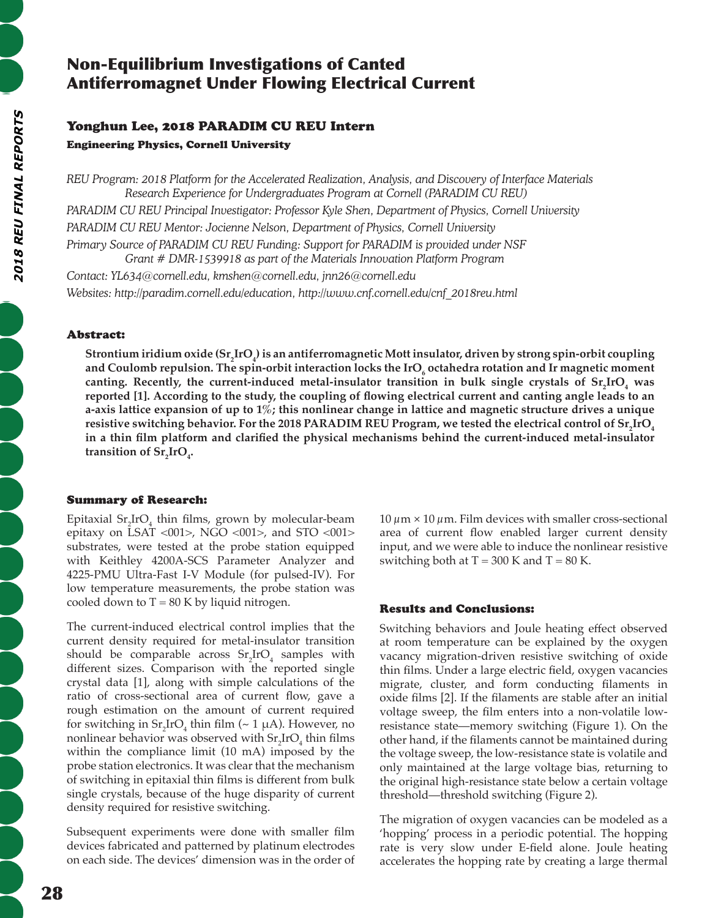# Non-Equilibrium Investigations of Canted Antiferromagnet Under Flowing Electrical Current

## Yonghun Lee, 2018 PARADIM CU REU Intern Engineering Physics, Cornell University

*REU Program: 2018 Platform for the Accelerated Realization, Analysis, and Discovery of Interface Materials Research Experience for Undergraduates Program at Cornell (PARADIM CU REU) PARADIM CU REU Principal Investigator: Professor Kyle Shen, Department of Physics, Cornell University PARADIM CU REU Mentor: Jocienne Nelson, Department of Physics, Cornell University Primary Source of PARADIM CU REU Funding: Support for PARADIM is provided under NSF Grant # DMR-1539918 as part of the Materials Innovation Platform Program Contact: YL634@cornell.edu, kmshen@cornell.edu, jnn26@cornell.edu*

*Websites: http://paradim.cornell.edu/education, http://www.cnf.cornell.edu/cnf\_2018reu.html*

## Abstract:

**Strontium iridium oxide (Sr<sup>2</sup> IrO4 ) is an antiferromagnetic Mott insulator, driven by strong spin-orbit coupling**  and Coulomb repulsion. The spin-orbit interaction locks the IrO<sub>6</sub> octahedra rotation and Ir magnetic moment canting. Recently, the current-induced metal-insulator transition in bulk single crystals of  $\text{Sr}_{2}\text{IrO}_{4}$  was **reported [1]. According to the study, the coupling of flowing electrical current and canting angle leads to an a-axis lattice expansion of up to 1%; this nonlinear change in lattice and magnetic structure drives a unique resistive switching behavior. For the 2018 PARADIM REU Program, we tested the electrical control of Sr<sup>2</sup> IrO4 in a thin film platform and clarified the physical mechanisms behind the current-induced metal-insulator**  transition of  $\text{Sr}_{2}\text{IrO}_{4}$ .

## Summary of Research:

Epitaxial  $\text{Sr}_{2}\text{IrO}_{4}$  thin films, grown by molecular-beam epitaxy on LSAT <001>, NGO <001>, and STO <001> substrates, were tested at the probe station equipped with Keithley 4200A-SCS Parameter Analyzer and 4225-PMU Ultra-Fast I-V Module (for pulsed-IV). For low temperature measurements, the probe station was cooled down to  $T = 80$  K by liquid nitrogen.

The current-induced electrical control implies that the current density required for metal-insulator transition should be comparable across  $Sr_2IrO<sub>4</sub>$  samples with different sizes. Comparison with the reported single crystal data [1], along with simple calculations of the ratio of cross-sectional area of current flow, gave a rough estimation on the amount of current required for switching in  $\text{Sr}_2\text{IrO}_4$  thin film (~ 1 µA). However, no nonlinear behavior was observed with  $\text{Sr}_2\text{IrO}_4$  thin films within the compliance limit (10 mA) imposed by the probe station electronics. It was clear that the mechanism of switching in epitaxial thin films is different from bulk single crystals, because of the huge disparity of current density required for resistive switching.

Subsequent experiments were done with smaller film devices fabricated and patterned by platinum electrodes on each side. The devices' dimension was in the order of

 $10 \mu m \times 10 \mu m$ . Film devices with smaller cross-sectional area of current flow enabled larger current density input, and we were able to induce the nonlinear resistive switching both at  $T = 300$  K and  $T = 80$  K.

## Results and Conclusions:

Switching behaviors and Joule heating effect observed at room temperature can be explained by the oxygen vacancy migration-driven resistive switching of oxide thin films. Under a large electric field, oxygen vacancies migrate, cluster, and form conducting filaments in oxide films [2]. If the filaments are stable after an initial voltage sweep, the film enters into a non-volatile lowresistance state—memory switching (Figure 1). On the other hand, if the filaments cannot be maintained during the voltage sweep, the low-resistance state is volatile and only maintained at the large voltage bias, returning to the original high-resistance state below a certain voltage threshold—threshold switching (Figure 2).

The migration of oxygen vacancies can be modeled as a 'hopping' process in a periodic potential. The hopping rate is very slow under E-field alone. Joule heating accelerates the hopping rate by creating a large thermal